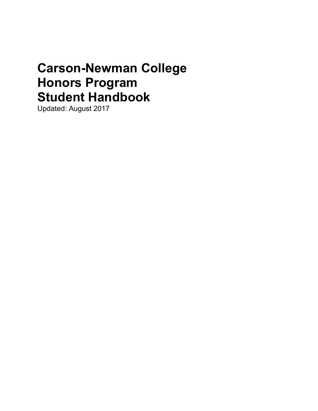# Carson-Newman College Honors Program Student Handbook

Updated: August 2017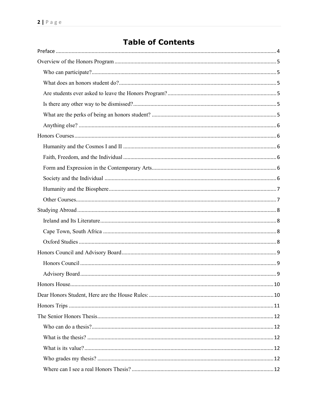# **Table of Contents**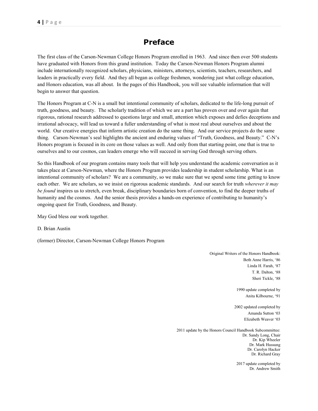# Preface

The first class of the Carson-Newman College Honors Program enrolled in 1963. And since then over 500 students have graduated with Honors from this grand institution. Today the Carson-Newman Honors Program alumni include internationally recognized scholars, physicians, ministers, attorneys, scientists, teachers, researchers, and leaders in practically every field. And they all began as college freshmen, wondering just what college education, and Honors education, was all about. In the pages of this Handbook, you will see valuable information that will begin to answer that question.

The Honors Program at C-N is a small but intentional community of scholars, dedicated to the life-long pursuit of truth, goodness, and beauty. The scholarly tradition of which we are a part has proven over and over again that rigorous, rational research addressed to questions large and small, attention which exposes and defies deceptions and irrational advocacy, will lead us toward a fuller understanding of what is most real about ourselves and about the world. Our creative energies that inform artistic creation do the same thing. And our service projects do the same thing. Carson-Newman's seal highlights the ancient and enduring values of "Truth, Goodness, and Beauty." C-N's Honors program is focused in its core on those values as well. And only from that starting point, one that is true to ourselves and to our cosmos, can leaders emerge who will succeed in serving God through serving others.

So this Handbook of our program contains many tools that will help you understand the academic conversation as it takes place at Carson-Newman, where the Honors Program provides leadership in student scholarship. What is an intentional community of scholars? We are a community, so we make sure that we spend some time getting to know each other. We are scholars, so we insist on rigorous academic standards. And our search for truth wherever it may be found inspires us to stretch, even break, disciplinary boundaries born of convention, to find the deeper truths of humanity and the cosmos. And the senior thesis provides a hands-on experience of contributing to humanity's ongoing quest for Truth, Goodness, and Beauty.

May God bless our work together.

D. Brian Austin

(former) Director, Carson-Newman College Honors Program

Original Writers of the Honors Handbook: Beth Anne Harris, '86 Linda H. Farah, '87 T. R. Dalton, '88 Sheri Tickle, '88

> 1990 update completed by Anita Kilbourne, '91

2002 updated completed by Amanda Sutton '03 Elizabeth Weaver '03

2011 update by the Honors Council Handbook Subcommittee: Dr. Sandy Long, Chair Dr. Kip Wheeler Dr. Mark Hussung Dr. Carolyn Hacker Dr. Richard Gray

> 2017 update completed by Dr. Andrew Smith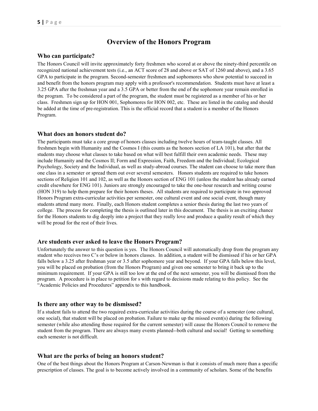# Overview of the Honors Program

#### Who can participate?

The Honors Council will invite approximately forty freshmen who scored at or above the ninety-third percentile on recognized national achievement tests (i.e., an ACT score of 28 and above or SAT of 1260 and above), and a 3.65 GPA to participate in the program. Second-semester freshmen and sophomores who show potential to succeed in and benefit from the honors program may apply with a professor's recommendation. Students must have at least a 3.25 GPA after the freshman year and a 3.5 GPA or better from the end of the sophomore year remain enrolled in the program. To be considered a part of the program, the student must be registered as a member of his or her class. Freshmen sign up for HON 001, Sophomores for HON 002, etc. These are listed in the catalog and should be added at the time of pre-registration. This is the official record that a student is a member of the Honors Program.

#### What does an honors student do?

The participants must take a core group of honors classes including twelve hours of team-taught classes. All freshmen begin with Humanity and the Cosmos I (this counts as the honors section of LA 101), but after that the students may choose what classes to take based on what will best fulfill their own academic needs. These may include Humanity and the Cosmos II; Form and Expression, Faith, Freedom and the Individual; Ecological Psychology, Society and the Individual, as well as study-abroad courses. The student can choose to take more than one class in a semester or spread them out over several semesters. Honors students are required to take honors sections of Religion 101 and 102, as well as the Honors section of ENG 101 (unless the student has already earned credit elsewhere for ENG 101). Juniors are strongly encouraged to take the one-hour research and writing course (HON 319) to help them prepare for their honors theses. All students are required to participate in two approved Honors Program extra-curricular activities per semester, one cultural event and one social event, though many students attend many more. Finally, each Honors student completes a senior thesis during the last two years of college. The process for completing the thesis is outlined later in this document. The thesis is an exciting chance for the Honors students to dig deeply into a project that they really love and produce a quality result of which they will be proud for the rest of their lives.

#### Are students ever asked to leave the Honors Program?

Unfortunately the answer to this question is yes. The Honors Council will automatically drop from the program any student who receives two C's or below in honors classes. In addition, a student will be dismissed if his or her GPA falls below a 3.25 after freshman year or 3.5 after sophomore year and beyond. If your GPA falls below this level, you will be placed on probation (from the Honors Program) and given one semester to bring it back up to the minimum requirement. If your GPA is still too low at the end of the next semester, you will be dismissed from the program. A procedure is in place to petition for s with regard to decisions made relating to this policy. See the "Academic Policies and Procedures" appendix to this handbook.

#### Is there any other way to be dismissed?

If a student fails to attend the two required extra-curricular activities during the course of a semester (one cultural, one social), that student will be placed on probation. Failure to make up the missed event(s) during the following semester (while also attending those required for the current semester) will cause the Honors Council to remove the student from the program. There are always many events planned--both cultural and social! Getting to something each semester is not difficult.

#### What are the perks of being an honors student?

One of the best things about the Honors Program at Carson-Newman is that it consists of much more than a specific prescription of classes. The goal is to become actively involved in a community of scholars. Some of the benefits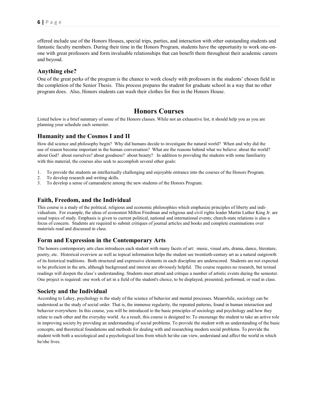offered include use of the Honors Houses, special trips, parties, and interaction with other outstanding students and fantastic faculty members. During their time in the Honors Program, students have the opportunity to work one-onone with great professors and form invaluable relationships that can benefit them throughout their academic careers and beyond.

#### Anything else?

One of the great perks of the program is the chance to work closely with professors in the students' chosen field in the completion of the Senior Thesis. This process prepares the student for graduate school in a way that no other program does. Also, Honors students can wash their clothes for free in the Honors House.

#### Honors Courses

Listed below is a brief summary of some of the Honors classes. While not an exhaustive list, it should help you as you are planning your schedule each semester.

#### Humanity and the Cosmos I and II

How did science and philosophy begin? Why did humans decide to investigate the natural world? When and why did the use of reason become important in the human conversation? What are the reasons behind what we believe: about the world? about God? about ourselves? about goodness? about beauty? In addition to providing the students with some familiarity with this material, the courses also seek to accomplish several other goals:

- 1. To provide the students an intellectually challenging and enjoyable entrance into the courses of the Honors Program.
- 2. To develop research and writing skills.
- 3. To develop a sense of camaraderie among the new students of the Honors Program.

#### Faith, Freedom, and the Individual

This course is a study of the political, religious and economic philosophies which emphasize principles of liberty and individualism. For example, the ideas of economist Milton Friedman and religious and civil rights leader Martin Luther King Jr. are usual topics of study. Emphasis is given to current political, national and international events; church-state relations is also a focus of concern. Students are required to submit critiques of journal articles and books and complete examinations over materials read and discussed in class.

#### Form and Expression in the Contemporary Arts

The honors contemporary arts class introduces each student with many facets of art: music, visual arts, drama, dance, literature, poetry, etc. Historical overview as well as topical information helps the student see twentieth-century art as a natural outgrowth of its historical traditions. Both structural and expressive elements in each discipline are underscored. Students are not expected to be proficient in the arts, although background and interest are obviously helpful. The course requires no research, but textual readings will deepen the class's understanding. Students must attend and critique a number of artistic events during the semester. One project is required: one work of art in a field of the student's choice, to be displayed, presented, performed, or read in class.

#### Society and the Individual

According to Lahey, psychology is the study of the science of behavior and mental processes. Meanwhile, sociology can be understood as the study of social order. That is, the immense regularity, the repeated patterns, found in human interaction and behavior everywhere. In this course, you will be introduced to the basic principles of sociology and psychology and how they relate to each other and the everyday world. As a result, this course is designed to: To encourage the student to take an active role in improving society by providing an understanding of social problems. To provide the student with an understanding of the basic concepts, and theoretical foundations and methods for dealing with and researching modern social problems. To provide the student with both a sociological and a psychological lens from which he/she can view, understand and affect the world in which he/she lives.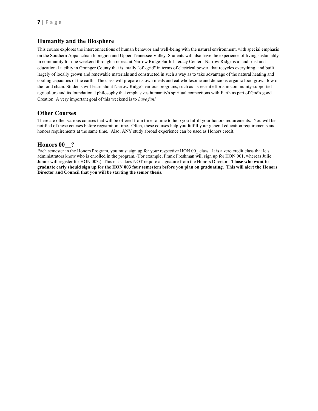#### Humanity and the Biosphere

This course explores the interconnections of human behavior and well-being with the natural environment, with special emphasis on the Southern Appalachian bioregion and Upper Tennessee Valley. Students will also have the experience of living sustainably in community for one weekend through a retreat at Narrow Ridge Earth Literacy Center. Narrow Ridge is a land trust and educational facility in Grainger County that is totally "off-grid" in terms of electrical power, that recycles everything, and built largely of locally grown and renewable materials and constructed in such a way as to take advantage of the natural heating and cooling capacities of the earth. The class will prepare its own meals and eat wholesome and delicious organic food grown low on the food chain. Students will learn about Narrow Ridge's various programs, such as its recent efforts in community-supported agriculture and its foundational philosophy that emphasizes humanity's spiritual connections with Earth as part of God's good Creation. A very important goal of this weekend is to have fun!

#### Other Courses

There are other various courses that will be offered from time to time to help you fulfill your honors requirements. You will be notified of these courses before registration time. Often, these courses help you fulfill your general education requirements and honors requirements at the same time. Also, ANY study abroad experience can be used as Honors credit.

#### Honors 00<sup>2</sup>

Each semester in the Honors Program, you must sign up for your respective HON 00\_ class. It is a zero credit class that lets administrators know who is enrolled in the program. (For example, Frank Freshman will sign up for HON 001, whereas Julie Junior will register for HON 003.) This class does NOT require a signature from the Honors Director. **Those who want to** graduate early should sign up for the HON 003 four semesters before you plan on graduating. This will alert the Honors Director and Council that you will be starting the senior thesis.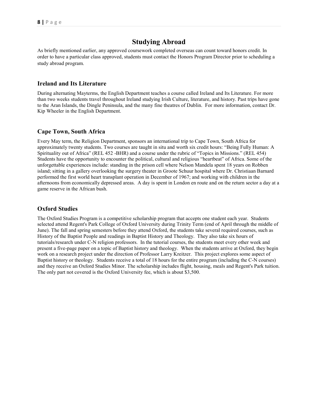# Studying Abroad

As briefly mentioned earlier, any approved coursework completed overseas can count toward honors credit. In order to have a particular class approved, students must contact the Honors Program Director prior to scheduling a study abroad program.

#### Ireland and Its Literature

During alternating Mayterms, the English Department teaches a course called Ireland and Its Literature. For more than two weeks students travel throughout Ireland studying Irish Culture, literature, and history. Past trips have gone to the Aran Islands, the Dingle Peninsula, and the many fine theatres of Dublin. For more information, contact Dr. Kip Wheeler in the English Department.

#### Cape Town, South Africa

Every May term, the Religion Department, sponsors an international trip to Cape Town, South Africa for approximately twenty students. Two courses are taught in situ and worth six credit hours: "Being Fully Human: A Spirituality out of Africa" (REL 452 -BHR) and a course under the rubric of "Topics in Missions." (REL 454) Students have the opportunity to encounter the political, cultural and religious "heartbeat" of Africa. Some of the unforgettable experiences include: standing in the prison cell where Nelson Mandela spent 18 years on Robben island; sitting in a gallery overlooking the surgery theater in Groote Schuur hospital where Dr. Christiaan Barnard performed the first world heart transplant operation in December of 1967; and working with children in the afternoons from economically depressed areas. A day is spent in London en route and on the return sector a day at a game reserve in the African bush.

#### Oxford Studies

The Oxford Studies Program is a competitive scholarship program that accepts one student each year. Students selected attend Regent's Park College of Oxford University during Trinity Term (end of April through the middle of June). The fall and spring semesters before they attend Oxford, the students take several required courses, such as History of the Baptist People and readings in Baptist History and Theology. They also take six hours of tutorials/research under C-N religion professors. In the tutorial courses, the students meet every other week and present a five-page paper on a topic of Baptist history and theology. When the students arrive at Oxford, they begin work on a research project under the direction of Professor Larry Kreitzer. This project explores some aspect of Baptist history or theology. Students receive a total of 18 hours for the entire program (including the C-N courses) and they receive an Oxford Studies Minor. The scholarship includes flight, housing, meals and Regent's Park tuition. The only part not covered is the Oxford University fee, which is about \$3,500.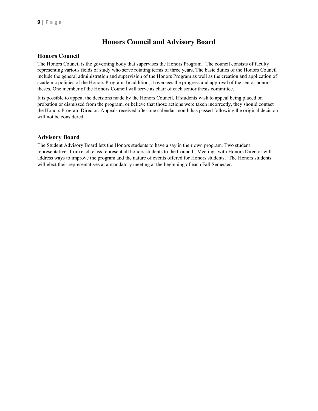# Honors Council and Advisory Board

#### Honors Council

The Honors Council is the governing body that supervises the Honors Program. The council consists of faculty representing various fields of study who serve rotating terms of three years. The basic duties of the Honors Council include the general administration and supervision of the Honors Program as well as the creation and application of academic policies of the Honors Program. In addition, it oversees the progress and approval of the senior honors theses. One member of the Honors Council will serve as chair of each senior thesis committee.

It is possible to appeal the decisions made by the Honors Council. If students wish to appeal being placed on probation or dismissed from the program, or believe that those actions were taken incorrectly, they should contact the Honors Program Director. Appeals received after one calendar month has passed following the original decision will not be considered.

#### Advisory Board

The Student Advisory Board lets the Honors students to have a say in their own program. Two student representatives from each class represent all honors students to the Council. Meetings with Honors Director will address ways to improve the program and the nature of events offered for Honors students. The Honors students will elect their representatives at a mandatory meeting at the beginning of each Fall Semester.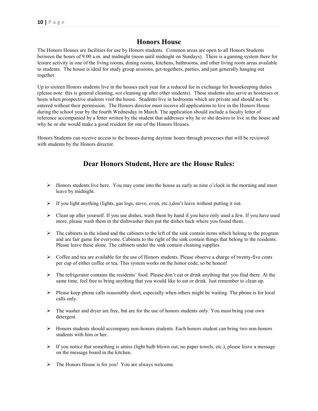# Honors House

The Honors Houses are facilities for use by Honors students. Common areas are open to all Honors Students between the hours of 9:00 a.m. and midnight (noon until midnight on Sundays). There is a gaming system there for leisure activity in one of the living rooms, dining rooms, kitchens, bathrooms, and other living room areas available to students. The house is ideal for study group sessions, get-togethers, parties, and just generally hanging out together.

Up to sixteen Honors students live in the houses each year for a reduced fee in exchange for housekeeping duties (please note: this is general cleaning, not cleaning up after other students). These students also serve as hostesses or hosts when prospective students visit the house. Students live in bedrooms which are private and should not be entered without their permission. The Honors director must receive all applications to live in the Honors House during the school year by the fourth Wednesday in March. The application should include a faculty letter of reference accompanied by a letter written by the student that addresses why he or she desires to live in the house and why he or she would make a good resident for one of the Honors Houses.

Honors Students can receive access to the houses during daytime hours through processes that will be reviewed with students by the Honors director.

# Dear Honors Student, Here are the House Rules:

- $\triangleright$  Honors students live here. You may come into the house as early as nine o'clock in the morning and must leave by midnight.
- $\triangleright$  If you light anything (lights, gas logs, stove, oven, etc.),don't leave without putting it out.
- Clean up after yourself. If you use dishes, wash them by hand if you have only used a few. If you have used more, please wash them in the dishwasher then put the dishes back where you found them.
- $\triangleright$  The cabinets in the island and the cabinets to the left of the sink contain items which belong to the program and are fair game for everyone. Cabinets to the right of the sink contain things that belong to the residents. Please leave these alone. The cabinets under the sink contain cleaning supplies.
- $\triangleright$  Coffee and tea are available for the use of Honors students. Please observe a charge of twenty-five cents per cup of either coffee or tea. This system works on the honor code, so be honest!
- $\triangleright$  The refrigerator contains the residents' food. Please don't eat or drink anything that you find there. At the same time, feel free to bring anything that you would like to eat or drink. Just remember to clean up.
- $\triangleright$  Please keep phone calls reasonably short, especially when others might be waiting. The phone is for local calls only.
- $\triangleright$  The washer and dryer are free, but are for the use of honors students only. You must bring your own detergent.
- $\triangleright$  Honors students should accompany non-honors students. Each honors student can bring two non-honors students with him or her.
- $\triangleright$  If you notice that something is amiss (light bulb blown out, no paper towels, etc.), please leave a message on the message board in the kitchen.
- The Honors House is for you! You are always welcome.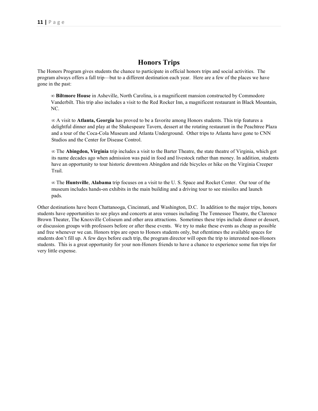### Honors Trips

The Honors Program gives students the chance to participate in official honors trips and social activities. The program always offers a fall trip—but to a different destination each year. Here are a few of the places we have gone in the past:

∞ Biltmore House in Asheville, North Carolina, is a magnificent mansion constructed by Commodore Vanderbilt. This trip also includes a visit to the Red Rocker Inn, a magnificent restaurant in Black Mountain, NC.

∞ A visit to Atlanta, Georgia has proved to be a favorite among Honors students. This trip features a delightful dinner and play at the Shakespeare Tavern, dessert at the rotating restaurant in the Peachtree Plaza and a tour of the Coca-Cola Museum and Atlanta Underground. Other trips to Atlanta have gone to CNN Studios and the Center for Disease Control.

∞ The Abingdon, Virginia trip includes a visit to the Barter Theatre, the state theatre of Virginia, which got its name decades ago when admission was paid in food and livestock rather than money. In addition, students have an opportunity to tour historic downtown Abingdon and ride bicycles or hike on the Virginia Creeper Trail.

∞ The Huntsville, Alabama trip focuses on a visit to the U. S. Space and Rocket Center. Our tour of the museum includes hands-on exhibits in the main building and a driving tour to see missiles and launch pads.

Other destinations have been Chattanooga, Cincinnati, and Washington, D.C. In addition to the major trips, honors students have opportunities to see plays and concerts at area venues including The Tennessee Theatre, the Clarence Brown Theater, The Knoxville Coliseum and other area attractions. Sometimes these trips include dinner or dessert, or discussion groups with professors before or after these events. We try to make these events as cheap as possible and free whenever we can. Honors trips are open to Honors students only, but oftentimes the available spaces for students don't fill up. A few days before each trip, the program director will open the trip to interested non-Honors students. This is a great opportunity for your non-Honors friends to have a chance to experience some fun trips for very little expense.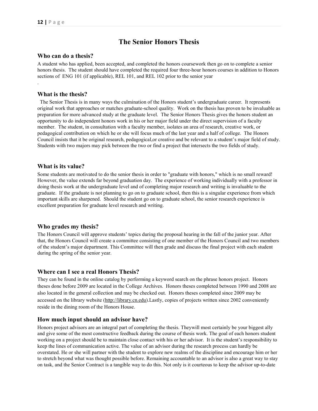.

# The Senior Honors Thesis

#### Who can do a thesis?

A student who has applied, been accepted, and completed the honors coursework then go on to complete a senior honors thesis. The student should have completed the required four three-hour honors courses in addition to Honors sections of ENG 101 (if applicable), REL 101, and REL 102 prior to the senior year

#### What is the thesis?

 The Senior Thesis is in many ways the culmination of the Honors student's undergraduate career. It represents original work that approaches or matches graduate-school quality. Work on the thesis has proven to be invaluable as preparation for more advanced study at the graduate level. The Senior Honors Thesis gives the honors student an opportunity to do independent honors work in his or her major field under the direct supervision of a faculty member. The student, in consultation with a faculty member, isolates an area of research, creative work, or pedagogical contribution on which he or she will focus much of the last year and a half of college. The Honors Council insists that it be original research, pedagogical,or creative and be relevant to a student's major field of study. Students with two majors may pick between the two or find a project that intersects the two fields of study.

#### What is its value?

Some students are motivated to do the senior thesis in order to "graduate with honors," which is no small reward! However, the value extends far beyond graduation day. The experience of working individually with a professor in doing thesis work at the undergraduate level and of completing major research and writing is invaluable to the graduate. If the graduate is not planning to go on to graduate school, then this is a singular experience from which important skills are sharpened. Should the student go on to graduate school, the senior research experience is excellent preparation for graduate level research and writing.

#### Who grades my thesis?

The Honors Council will approve students' topics during the proposal hearing in the fall of the junior year. After that, the Honors Council will create a committee consisting of one member of the Honors Council and two members of the student's major department. This Committee will then grade and discuss the final project with each student during the spring of the senior year.

#### Where can I see a real Honors Thesis?

They can be found in the online catalog by performing a keyword search on the phrase honors project. Honors theses done before 2009 are located in the College Archives. Honors theses completed between 1990 and 2008 are also located in the general collection and may be checked out. Honors theses completed since 2009 may be accessed on the library website (http://library.cn.edu).Lastly, copies of projects written since 2002 conveniently reside in the dining room of the Honors House.

#### How much input should an advisor have?

Honors project advisors are an integral part of completing the thesis. Theywill most certainly be your biggest ally and give some of the most constructive feedback during the course of thesis work. The goal of each honors student working on a project should be to maintain close contact with his or her advisor. It is the student's responsibility to keep the lines of communication active. The value of an advisor during the research process can hardly be overstated. He or she will partner with the student to explore new realms of the discipline and encourage him or her to stretch beyond what was thought possible before. Remaining accountable to an advisor is also a great way to stay on task, and the Senior Contract is a tangible way to do this. Not only is it courteous to keep the advisor up-to-date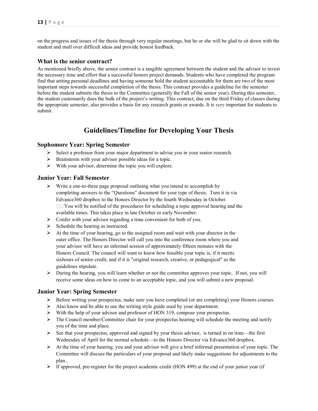on the progress and issues of the thesis through very regular meetings, but he or she will be glad to sit down with the student and mull over difficult ideas and provide honest feedback.

#### What is the senior contract?

As mentioned briefly above, the senior contract is a tangible agreement between the student and the advisor to invest the necessary time and effort that a successful honors project demands. Students who have completed the program find that setting personal deadlines and having someone hold the student accountable for them are two of the most important steps towards successful completion of the thesis. This contract provides a guideline for the semester before the student submits the thesis to the Committee (generally the Fall of the senior year). During this semester, the student customarily does the bulk of the project's writing. This contract, due on the third Friday of classes during the appropriate semester, also provides a basis for any research grants or awards. It is very important for students to submit.

# Guidelines/Timeline for Developing Your Thesis

#### Sophomore Year: Spring Semester

- $\triangleright$  Select a professor from your major department to advise you in your senior research.
- $\triangleright$  Brainstorm with your advisor possible ideas for a topic.
- $\triangleright$  With your advisor, determine the topic you will explore.

#### Junior Year: Fall Semester

- Write a one-to-three page proposal outlining what you intend to accomplish by completing answers to the "Questions" document for your type of thesis. Turn it in via Edvance360 dropbox to the Honors Director by the fourth Wednesday in October.  $\Box$  You will be notified of the procedures for scheduling a topic approval hearing and the available times. This takes place in late October or early November.
- $\triangleright$  Confer with your advisor regarding a time convenient for both of you.
- $\triangleright$  Schedule the hearing as instructed.
- $\triangleright$  At the time of your hearing, go to the assigned room and wait with your director in the outer office. The Honors Director will call you into the conference room where you and your advisor will have an informal session of approximately fifteen minutes with the Honors Council. The council will want to know how feasible your topic is, if it merits sixhours of senior credit, and if it is "original research, creative, or pedagogical" as the guidelines stipulate.
- $\triangleright$  During the hearing, you will learn whether or not the committee approves your topic. If not, you will receive some ideas on how to come to an acceptable topic, and you will submit a new proposal.

#### Junior Year: Spring Semester

- Before writing your prospectus, make sure you have completed (or are completing) your Honors courses.
- $\triangleright$  Also know and be able to use the writing style guide used by your department.
- With the help of your advisor and professor of HON 319, compose your prospectus.
- $\triangleright$  The Council member/Committee chair for your prospectus hearing will schedule the meeting and notify you of the time and place.
- $\triangleright$  See that your prospectus, approved and signed by your thesis advisor, is turned in on time—the first Wednesday of April for the normal schedule—to the Honors Director via Edvance360 dropbox.
- $\triangleright$  At the time of your hearing, you and your advisor will give a brief informal presentation of your topic. The Committee will discuss the particulars of your proposal and likely make suggestions for adjustments to the plan..
- $\triangleright$  If approved, pre-register for the project academic credit (HON 499) at the end of your junior year (if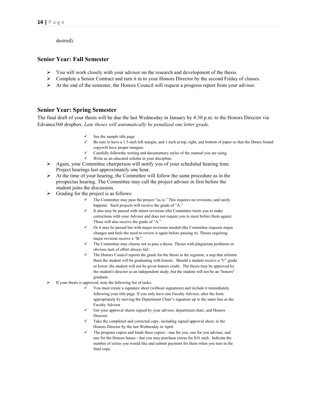desired).

#### Senior Year: Fall Semester

- $\triangleright$  You will work closely with your advisor on the research and development of the thesis.
- $\triangleright$  Complete a Senior Contract and turn it in to your Honors Director by the second Friday of classes.
- $\triangleright$  At the end of the semester, the Honors Council will request a progress report from your advisor.

#### Senior Year: Spring Semester

The final draft of your thesis will be due the last Wednesday in January by 4:30 p.m. to the Honors Director via Edvance360 dropbox. Late theses will automatically be penalized one letter grade.

- $\checkmark$  See the sample title page
- $\checkmark$  Be sure to have a 1.5-inch left margin, and 1-inch at top, right, and bottom of paper so that the library bound copywill have proper margins.
- $\checkmark$  Carefully followthe writing and documentary styles of the manual you are using.
- $\checkmark$  Write as an educated scholar in your discipline.
- $\triangleright$  Again, your Committee chairperson will notify you of your scheduled hearing time. Project hearings last approximately one hour.
- $\triangleright$  At the time of your hearing, the Committee will follow the same procedure as in the prospectus hearing. The Committee may call the project advisor in first before the student joins the discussion.
- $\triangleright$  Grading for the project is as follows:
	- The Committee may pass the project "as is." This requires no revisions, and rarely happens. Such projects will receive the grade of "A."
	- It also may be passed with minor revisions (the Committee trusts you to make corrections with your Advisor and does not require you to meet before them again) These will also receive the grade of "A."
	- Or it may be passed but with major revisions needed (the Committee requests major changes and feels the need to review it again before passing it). Theses requiring major revision receive a "B."
	- The Committee may choose not to pass a thesis. Theses with plagiarism problems or obvious lack of effort always fail.
	- The Honors Council reports the grade for the thesis to the registrar, a step that informs them the student will be graduating with honors. Should a student receive a "C" grade or lower, the student will not be given honors credit. The thesis may be approved by the student's director as an independent study, but the student will not be an "honors" graduate.
- $\triangleright$  If your thesis is approved, note the following list of tasks:
	- You must create a signature sheet (without signatures) and include it immediately following your title page. If you only have one Faculty Advisor, alter the form appropriately by moving the Department Chair's signature up to the same line as the Faculty Advisor
	- Get your approval sheets signed by your advisor, department chair, and Honors Director.
	- Take the completed and corrected copy, including signed approval sheet, to the Honors Director by the last Wednesday in April.
	- The program copies and binds three copies—one for you, one for you advisor, and one for the Honors house—but you may purchase extras for \$16 each. Indicate the number of extras you would like and submit payment for them when you turn in the final copy.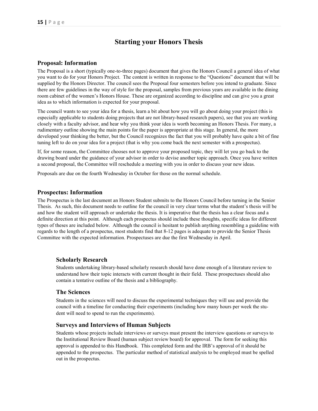# Starting your Honors Thesis

#### Proposal: Information

The Proposal is a short (typically one-to-three pages) document that gives the Honors Council a general idea of what you want to do for your Honors Project. The content is written in response to the "Questions" document that will be supplied by the Honors Director. The council sees the Proposal four semesters before you intend to graduate. Since there are few guidelines in the way of style for the proposal, samples from previous years are available in the dining room cabinet of the women's Honors House. These are organized according to discipline and can give you a great idea as to which information is expected for your proposal.

The council wants to see your idea for a thesis, learn a bit about how you will go about doing your project (this is especially applicable to students doing projects that are not library-based research papers), see that you are working closely with a faculty advisor, and hear why you think your idea is worth becoming an Honors Thesis. For many, a rudimentary outline showing the main points for the paper is appropriate at this stage. In general, the more developed your thinking the better, but the Council recognizes the fact that you will probably have quite a bit of fine tuning left to do on your idea for a project (that is why you come back the next semester with a prospectus).

If, for some reason, the Committee chooses not to approve your proposed topic, they will let you go back to the drawing board under the guidance of your advisor in order to devise another topic approach. Once you have written a second proposal, the Committee will reschedule a meeting with you in order to discuss your new ideas.

Proposals are due on the fourth Wednesday in October for those on the normal schedule.

#### Prospectus: Information

The Prospectus is the last document an Honors Student submits to the Honors Council before turning in the Senior Thesis. As such, this document needs to outline for the council in very clear terms what the student's thesis will be and how the student will approach or undertake the thesis. It is imperative that the thesis has a clear focus and a definite direction at this point. Although each prospectus should include these thoughts, specific ideas for different types of theses are included below. Although the council is hesitant to publish anything resembling a guideline with regards to the length of a prospectus, most students find that 8-12 pages is adequate to provide the Senior Thesis Committee with the expected information. Prospectuses are due the first Wednesday in April.

#### Scholarly Research

Students undertaking library-based scholarly research should have done enough of a literature review to understand how their topic interacts with current thought in their field. These prospectuses should also contain a tentative outline of the thesis and a bibliography.

#### The Sciences

Students in the sciences will need to discuss the experimental techniques they will use and provide the council with a timeline for conducting their experiments (including how many hours per week the student will need to spend to run the experiments).

#### Surveys and Interviews of Human Subjects

Students whose projects include interviews or surveys must present the interview questions or surveys to the Institutional Review Board (human subject review board) for approval. The form for seeking this approval is appended to this Handbook. This completed form and the IRB's approval of it should be appended to the prospectus. The particular method of statistical analysis to be employed must be spelled out in the prospectus.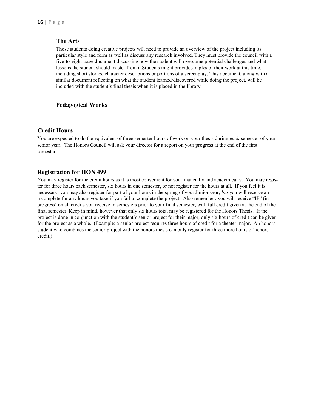#### The Arts

Those students doing creative projects will need to provide an overview of the project including its particular style and form as well as discuss any research involved. They must provide the council with a five-to-eight-page document discussing how the student will overcome potential challenges and what lessons the student should master from it.Students might providesamples of their work at this time, including short stories, character descriptions or portions of a screenplay. This document, along with a similar document reflecting on what the student learned/discovered while doing the project, will be included with the student's final thesis when it is placed in the library.

#### Pedagogical Works

#### Credit Hours

You are expected to do the equivalent of three semester hours of work on your thesis during each semester of your senior year. The Honors Council will ask your director for a report on your progress at the end of the first semester.

#### Registration for HON 499

You may register for the credit hours as it is most convenient for you financially and academically. You may register for three hours each semester, six hours in one semester, or not register for the hours at all. If you feel it is necessary, you may also register for part of your hours in the spring of your Junior year, but you will receive an incomplete for any hours you take if you fail to complete the project. Also remember, you will receive "IP" (in progress) on all credits you receive in semesters prior to your final semester, with full credit given at the end of the final semester. Keep in mind, however that only six hours total may be registered for the Honors Thesis. If the project is done in conjunction with the student's senior project for their major, only six hours of credit can be given for the project as a whole. (Example: a senior project requires three hours of credit for a theater major. An honors student who combines the senior project with the honors thesis can only register for three more hours of honors credit.)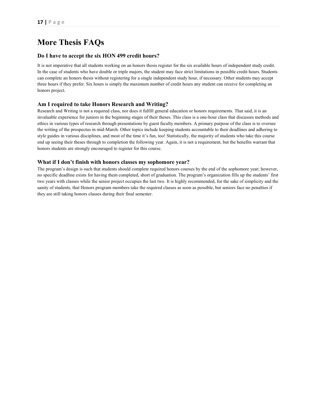# More Thesis FAQs

#### Do I have to accept the six HON 499 credit hours?

It is not imperative that all students working on an honors thesis register for the six available hours of independent study credit. In the case of students who have double or triple majors, the student may face strict limitations in possible credit hours. Students can complete an honors thesis without registering for a single independent study hour, if necessary. Other students may accept three hours if they prefer. Six hours is simply the maximum number of credit hours any student can receive for completing an honors project.

#### Am I required to take Honors Research and Writing?

Research and Writing is not a required class, nor does it fulfill general education or honors requirements. That said, it is an invaluable experience for juniors in the beginning stages of their theses. This class is a one-hour class that discusses methods and ethics in various types of research through presentations by guest faculty members. A primary purpose of the class is to oversee the writing of the prospectus in mid-March. Other topics include keeping students accountable to their deadlines and adhering to style guides in various disciplines, and most of the time it's fun, too! Statistically, the majority of students who take this course end up seeing their theses through to completion the following year. Again, it is not a requirement, but the benefits warrant that honors students are strongly encouraged to register for this course.

#### What if I don't finish with honors classes my sophomore year?

The program's design is such that students should complete required honors courses by the end of the sophomore year; however, no specific deadline exists for having them completed, short of graduation. The program's organization fills up the students' first two years with classes while the senior project occupies the last two. It is highly recommended, for the sake of simplicity and the sanity of students, that Honors program members take the required classes as soon as possible, but seniors face no penalties if they are still taking honors classes during their final semester.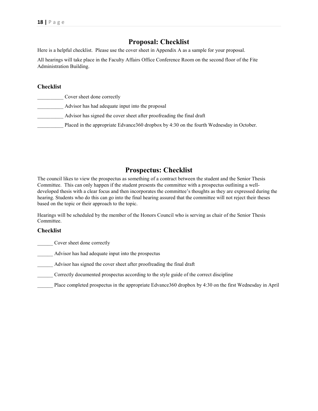# Proposal: Checklist

Here is a helpful checklist. Please use the cover sheet in Appendix A as a sample for your proposal.

All hearings will take place in the Faculty Affairs Office Conference Room on the second floor of the Fite Administration Building.

#### Checklist

| Cover sheet done correctly                                                                |
|-------------------------------------------------------------------------------------------|
| Advisor has had adequate input into the proposal                                          |
| Advisor has signed the cover sheet after proofreading the final draft                     |
| Placed in the appropriate Edvance 360 dropbox by 4:30 on the fourth Wednesday in October. |

# Prospectus: Checklist

The council likes to view the prospectus as something of a contract between the student and the Senior Thesis Committee. This can only happen if the student presents the committee with a prospectus outlining a welldeveloped thesis with a clear focus and then incorporates the committee's thoughts as they are expressed during the hearing. Students who do this can go into the final hearing assured that the committee will not reject their theses based on the topic or their approach to the topic.

Hearings will be scheduled by the member of the Honors Council who is serving as chair of the Senior Thesis Committee.

#### Checklist

\_\_\_\_\_\_ Cover sheet done correctly

\_\_\_\_\_\_ Advisor has had adequate input into the prospectus

\_\_\_\_\_\_ Advisor has signed the cover sheet after proofreading the final draft

Correctly documented prospectus according to the style guide of the correct discipline

\_\_\_\_\_\_ Place completed prospectus in the appropriate Edvance360 dropbox by 4:30 on the first Wednesday in April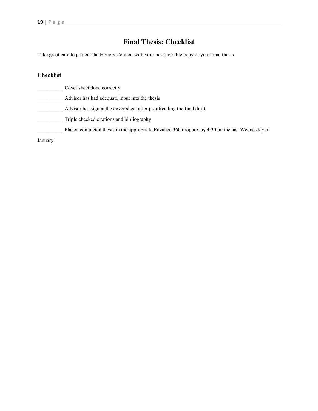# Final Thesis: Checklist

Take great care to present the Honors Council with your best possible copy of your final thesis.

# Checklist

|          | Cover sheet done correctly                                                                      |
|----------|-------------------------------------------------------------------------------------------------|
|          | Advisor has had adequate input into the thesis                                                  |
|          | Advisor has signed the cover sheet after proofreading the final draft                           |
|          | Triple checked citations and bibliography                                                       |
|          | Placed completed thesis in the appropriate Edvance 360 dropbox by 4:30 on the last Wednesday in |
| January. |                                                                                                 |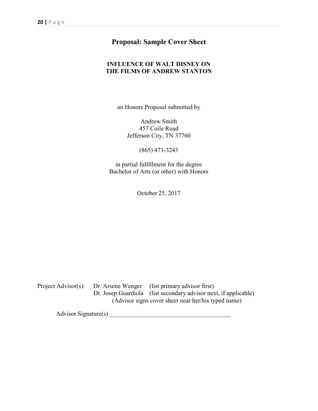# Proposal: Sample Cover Sheet

### INFLUENCE OF WALT DISNEY ON THE FILMS OF ANDREW STANTON

an Honors Proposal submitted by

Andrew Smith 457 Coile Road Jefferson City, TN 37760

(865) 471-3243

in partial fulfillment for the degree Bachelor of Arts (or other) with Honors

October 25, 2017

Project Advisor(s): Dr. Arsene Wenger (list primary advisor first) Dr. Josep Guardiola (list secondary advisor next, if applicable) (Advisor signs cover sheet near her/his typed name)

Advisor Signature(s) \_\_\_\_\_\_\_\_\_\_\_\_\_\_\_\_\_\_\_\_\_\_\_\_\_\_\_\_\_\_\_\_\_\_\_\_\_\_\_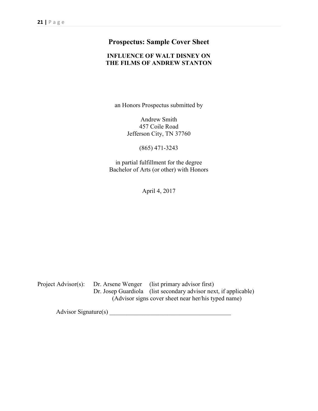# Prospectus: Sample Cover Sheet

### INFLUENCE OF WALT DISNEY ON THE FILMS OF ANDREW STANTON

an Honors Prospectus submitted by

Andrew Smith 457 Coile Road Jefferson City, TN 37760

(865) 471-3243

in partial fulfillment for the degree Bachelor of Arts (or other) with Honors

April 4, 2017

Project Advisor(s): Dr. Arsene Wenger (list primary advisor first) Dr. Josep Guardiola (list secondary advisor next, if applicable) (Advisor signs cover sheet near her/his typed name)

Advisor Signature(s) \_\_\_\_\_\_\_\_\_\_\_\_\_\_\_\_\_\_\_\_\_\_\_\_\_\_\_\_\_\_\_\_\_\_\_\_\_\_\_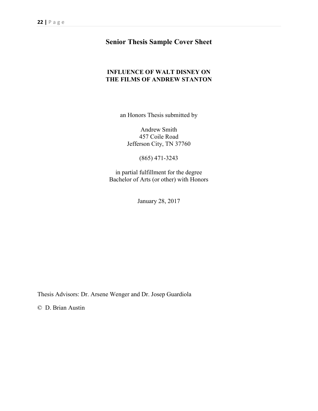# Senior Thesis Sample Cover Sheet

#### INFLUENCE OF WALT DISNEY ON THE FILMS OF ANDREW STANTON

an Honors Thesis submitted by

Andrew Smith 457 Coile Road Jefferson City, TN 37760

(865) 471-3243

in partial fulfillment for the degree Bachelor of Arts (or other) with Honors

January 28, 2017

Thesis Advisors: Dr. Arsene Wenger and Dr. Josep Guardiola

© D. Brian Austin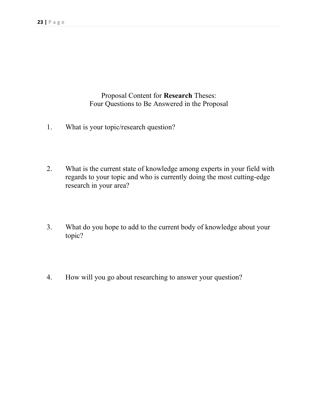Proposal Content for Research Theses: Four Questions to Be Answered in the Proposal

- 1. What is your topic/research question?
- 2. What is the current state of knowledge among experts in your field with regards to your topic and who is currently doing the most cutting-edge research in your area?
- 3. What do you hope to add to the current body of knowledge about your topic?
- 4. How will you go about researching to answer your question?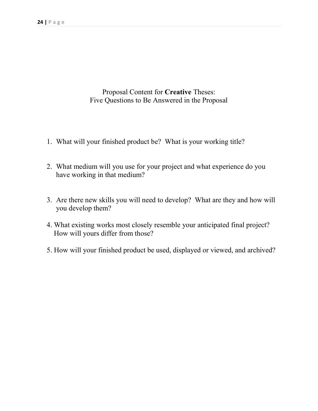Proposal Content for Creative Theses: Five Questions to Be Answered in the Proposal

- 1. What will your finished product be? What is your working title?
- 2. What medium will you use for your project and what experience do you have working in that medium?
- 3. Are there new skills you will need to develop? What are they and how will you develop them?
- 4. What existing works most closely resemble your anticipated final project? How will yours differ from those?
- 5. How will your finished product be used, displayed or viewed, and archived?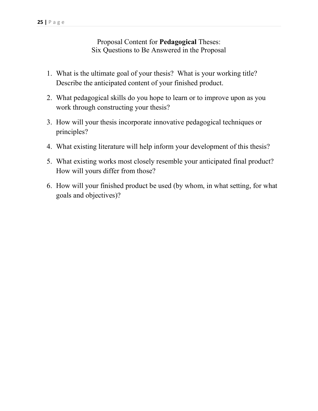Proposal Content for Pedagogical Theses: Six Questions to Be Answered in the Proposal

- 1. What is the ultimate goal of your thesis? What is your working title? Describe the anticipated content of your finished product.
- 2. What pedagogical skills do you hope to learn or to improve upon as you work through constructing your thesis?
- 3. How will your thesis incorporate innovative pedagogical techniques or principles?
- 4. What existing literature will help inform your development of this thesis?
- 5. What existing works most closely resemble your anticipated final product? How will yours differ from those?
- 6. How will your finished product be used (by whom, in what setting, for what goals and objectives)?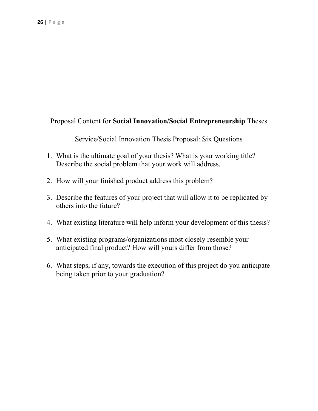# Proposal Content for Social Innovation/Social Entrepreneurship Theses

Service/Social Innovation Thesis Proposal: Six Questions

- 1. What is the ultimate goal of your thesis? What is your working title? Describe the social problem that your work will address.
- 2. How will your finished product address this problem?
- 3. Describe the features of your project that will allow it to be replicated by others into the future?
- 4. What existing literature will help inform your development of this thesis?
- 5. What existing programs/organizations most closely resemble your anticipated final product? How will yours differ from those?
- 6. What steps, if any, towards the execution of this project do you anticipate being taken prior to your graduation?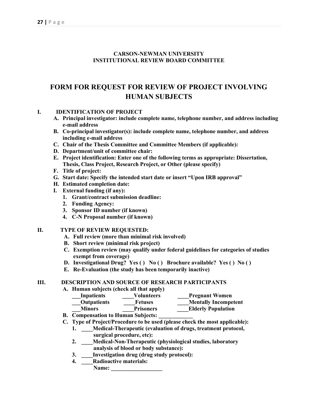#### CARSON-NEWMAN UNIVERSITY INSTITUTIONAL REVIEW BOARD COMMITTEE

# FORM FOR REQUEST FOR REVIEW OF PROJECT INVOLVING HUMAN SUBJECTS

#### I. IDENTIFICATION OF PROJECT

- A. Principal investigator: include complete name, telephone number, and address including e-mail address
- B. Co-principal investigator(s): include complete name, telephone number, and address including e-mail address
- C. Chair of the Thesis Committee and Committee Members (if applicable):
- D. Department/unit of committee chair:
- E. Project identification: Enter one of the following terms as appropriate: Dissertation, Thesis, Class Project, Research Project, or Other (please specify)
- F. Title of project:
- G. Start date: Specify the intended start date or insert "Upon IRB approval"
- H. Estimated completion date:
- I. External funding (if any):
	- 1. Grant/contract submission deadline:
	- 2. Funding Agency:
	- 3. Sponsor ID number (if known)
	- 4. C-N Proposal number (if known)

#### II. TYPE OF REVIEW REQUESTED:

- A. Full review (more than minimal risk involved)
- B. Short review (minimal risk project)
- C. Exemption review (may qualify under federal guidelines for categories of studies exempt from coverage)
- D. Investigational Drug? Yes () No () Brochure available? Yes () No ()
- E. Re-Evaluation (the study has been temporarily inactive)

#### III. DESCRIPTION AND SOURCE OF RESEARCH PARTICIPANTS

#### A. Human subjects (check all that apply)

| Inpatients                                                | Volunteers       | <b>Pregnant Women</b>       |
|-----------------------------------------------------------|------------------|-----------------------------|
| <b>Outpatients</b>                                        | <b>Fetuses</b>   | <b>Mentally Incompetent</b> |
| <b>Minors</b>                                             | <b>Prisoners</b> | <b>Elderly Population</b>   |
| $C_{\text{center}}$ . The contract of $C_{\text{center}}$ |                  |                             |

- B. Compensation to Human Subjects:
- C. Type of Project/Procedure to be used (please check the most applicable):
	- 1. \_\_\_Medical-Therapeutic (evaluation of drugs, treatment protocol, surgical procedure, etc):
	- 2. \_\_\_\_Medical-Non-Therapeutic (physiological studies, laboratory analysis of blood or body substance):
	- 3. \_\_\_\_Investigation drug (drug study protocol):
	- 4. Radioactive materials: Name: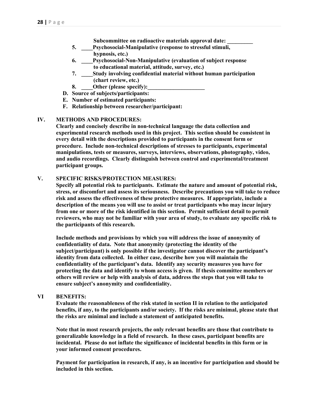- Subcommittee on radioactive materials approval date:
- 5. \_\_\_\_Psychosocial-Manipulative (response to stressful stimuli, hypnosis, etc.)
- 6. \_\_\_\_Psychosocial-Non-Manipulative (evaluation of subject response to educational material, attitude, survey, etc.)
- 7. \_\_\_\_Study involving confidential material without human participation (chart review, etc.)
- 8. Other (please specify):
- D. Source of subjects/participants:
- E. Number of estimated participants:
- F. Relationship between researcher/participant:

#### IV. METHODS AND PROCEDURES:

Clearly and concisely describe in non-technical language the data collection and experimental research methods used in this project. This section should be consistent in every detail with the descriptions provided to participants in the consent form or procedure. Include non-technical descriptions of stresses to participants, experimental manipulations, tests or measures, surveys, interviews, observations, photography, video, and audio recordings. Clearly distinguish between control and experimental/treatment participant groups.

#### V. SPECIFIC RISKS/PROTECTION MEASURES:

Specify all potential risk to participants. Estimate the nature and amount of potential risk, stress, or discomfort and assess its seriousness. Describe precautions you will take to reduce risk and assess the effectiveness of these protective measures. If appropriate, include a description of the means you will use to assist or treat participants who may incur injury from one or more of the risk identified in this section. Permit sufficient detail to permit reviewers, who may not be familiar with your area of study, to evaluate any specific risk to the participants of this research.

Include methods and provisions by which you will address the issue of anonymity of confidentiality of data. Note that anonymity (protecting the identity of the subject/participant) is only possible if the investigator cannot discover the participant's identity from data collected. In either case, describe how you will maintain the confidentiality of the participant's data. Identify any security measures you have for protecting the data and identify to whom access is given. If thesis committee members or others will review or help with analysis of data, address the steps that you will take to ensure subject's anonymity and confidentiality.

#### VI BENEFITS:

Evaluate the reasonableness of the risk stated in section II in relation to the anticipated benefits, if any, to the participants and/or society. If the risks are minimal, please state that the risks are minimal and include a statement of anticipated benefits.

Note that in most research projects, the only relevant benefits are those that contribute to generalizable knowledge in a field of research. In these cases, participant benefits are incidental. Please do not inflate the significance of incidental benefits in this form or in your informed consent procedures.

Payment for participation in research, if any, is an incentive for participation and should be included in this section.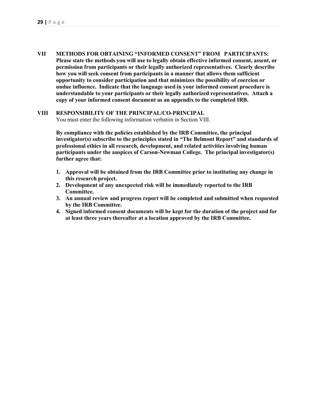VII METHODS FOR OBTAINING "INFORMED CONSENT" FROM PARTICIPANTS: Please state the methods you will use to legally obtain effective informed consent, assent, or permission from participants or their legally authorized representatives. Clearly describe how you will seek consent from participants in a manner that allows them sufficient opportunity to consider participation and that minimizes the possibility of coercion or undue influence. Indicate that the language used in your informed consent procedure is understandable to your participants or their legally authorized representatives. Attach a copy of your informed consent document as an appendix to the completed IRB.

#### VIII RESPONSIBILITY OF THE PRINCIPAL/CO-PRINCIPAL

You must enter the following information verbatim in Section VIII.

By compliance with the policies established by the IRB Committee, the principal investigator(s) subscribe to the principles stated in "The Belmont Report" and standards of professional ethics in all research, development, and related activities involving human participants under the auspices of Carson-Newman College. The principal investigator(s) further agree that:

- 1. Approval will be obtained from the IRB Committee prior to instituting any change in this research project.
- 2. Development of any unexpected risk will be immediately reported to the IRB Committee.
- 3. An annual review and progress report will be completed and submitted when requested by the IRB Committee.
- 4. Signed informed consent documents will be kept for the duration of the project and for at least three years thereafter at a location approved by the IRB Committee.